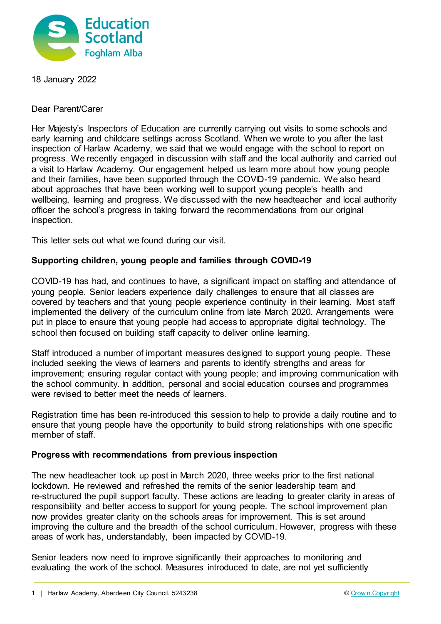

18 January 2022

Dear Parent/Carer

Her Majesty's Inspectors of Education are currently carrying out visits to some schools and early learning and childcare settings across Scotland. When we wrote to you after the last inspection of Harlaw Academy, we said that we would engage with the school to report on progress. We recently engaged in discussion with staff and the local authority and carried out a visit to Harlaw Academy. Our engagement helped us learn more about how young people and their families, have been supported through the COVID-19 pandemic. We also heard about approaches that have been working well to support young people's health and wellbeing, learning and progress. We discussed with the new headteacher and local authority officer the school's progress in taking forward the recommendations from our original inspection.

This letter sets out what we found during our visit.

## **Supporting children, young people and families through COVID-19**

COVID-19 has had, and continues to have, a significant impact on staffing and attendance of young people. Senior leaders experience daily challenges to ensure that all classes are covered by teachers and that young people experience continuity in their learning. Most staff implemented the delivery of the curriculum online from late March 2020. Arrangements were put in place to ensure that young people had access to appropriate digital technology. The school then focused on building staff capacity to deliver online learning.

Staff introduced a number of important measures designed to support young people. These included seeking the views of learners and parents to identify strengths and areas for improvement; ensuring regular contact with young people; and improving communication with the school community. In addition, personal and social education courses and programmes were revised to better meet the needs of learners.

Registration time has been re-introduced this session to help to provide a daily routine and to ensure that young people have the opportunity to build strong relationships with one specific member of staff.

## **Progress with recommendations from previous inspection**

The new headteacher took up post in March 2020, three weeks prior to the first national lockdown. He reviewed and refreshed the remits of the senior leadership team and re-structured the pupil support faculty. These actions are leading to greater clarity in areas of responsibility and better access to support for young people. The school improvement plan now provides greater clarity on the schools areas for improvement. This is set around improving the culture and the breadth of the school curriculum. However, progress with these areas of work has, understandably, been impacted by COVID-19.

Senior leaders now need to improve significantly their approaches to monitoring and evaluating the work of the school. Measures introduced to date, are not yet sufficiently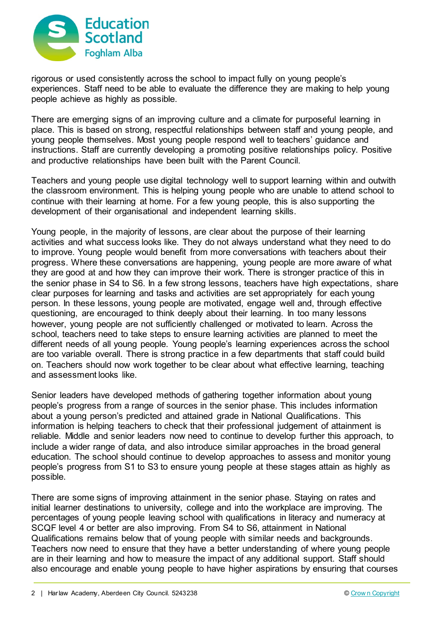

rigorous or used consistently across the school to impact fully on young people's experiences. Staff need to be able to evaluate the difference they are making to help young people achieve as highly as possible.

There are emerging signs of an improving culture and a climate for purposeful learning in place. This is based on strong, respectful relationships between staff and young people, and young people themselves. Most young people respond well to teachers' guidance and instructions. Staff are currently developing a promoting positive relationships policy. Positive and productive relationships have been built with the Parent Council.

Teachers and young people use digital technology well to support learning within and outwith the classroom environment. This is helping young people who are unable to attend school to continue with their learning at home. For a few young people, this is also supporting the development of their organisational and independent learning skills.

Young people, in the majority of lessons, are clear about the purpose of their learning activities and what success looks like. They do not always understand what they need to do to improve. Young people would benefit from more conversations with teachers about their progress. Where these conversations are happening, young people are more aware of what they are good at and how they can improve their work. There is stronger practice of this in the senior phase in S4 to S6. In a few strong lessons, teachers have high expectations, share clear purposes for learning and tasks and activities are set appropriately for each young person. In these lessons, young people are motivated, engage well and, through effective questioning, are encouraged to think deeply about their learning. In too many lessons however, young people are not sufficiently challenged or motivated to learn. Across the school, teachers need to take steps to ensure learning activities are planned to meet the different needs of all young people. Young people's learning experiences across the school are too variable overall. There is strong practice in a few departments that staff could build on. Teachers should now work together to be clear about what effective learning, teaching and assessment looks like.

Senior leaders have developed methods of gathering together information about young people's progress from a range of sources in the senior phase. This includes information about a young person's predicted and attained grade in National Qualifications. This information is helping teachers to check that their professional judgement of attainment is reliable. Middle and senior leaders now need to continue to develop further this approach, to include a wider range of data, and also introduce similar approaches in the broad general education. The school should continue to develop approaches to assess and monitor young people's progress from S1 to S3 to ensure young people at these stages attain as highly as possible.

There are some signs of improving attainment in the senior phase. Staying on rates and initial learner destinations to university, college and into the workplace are improving. The percentages of young people leaving school with qualifications in literacy and numeracy at SCQF level 4 or better are also improving. From S4 to S6, attainment in National Qualifications remains below that of young people with similar needs and backgrounds. Teachers now need to ensure that they have a better understanding of where young people are in their learning and how to measure the impact of any additional support. Staff should also encourage and enable young people to have higher aspirations by ensuring that courses